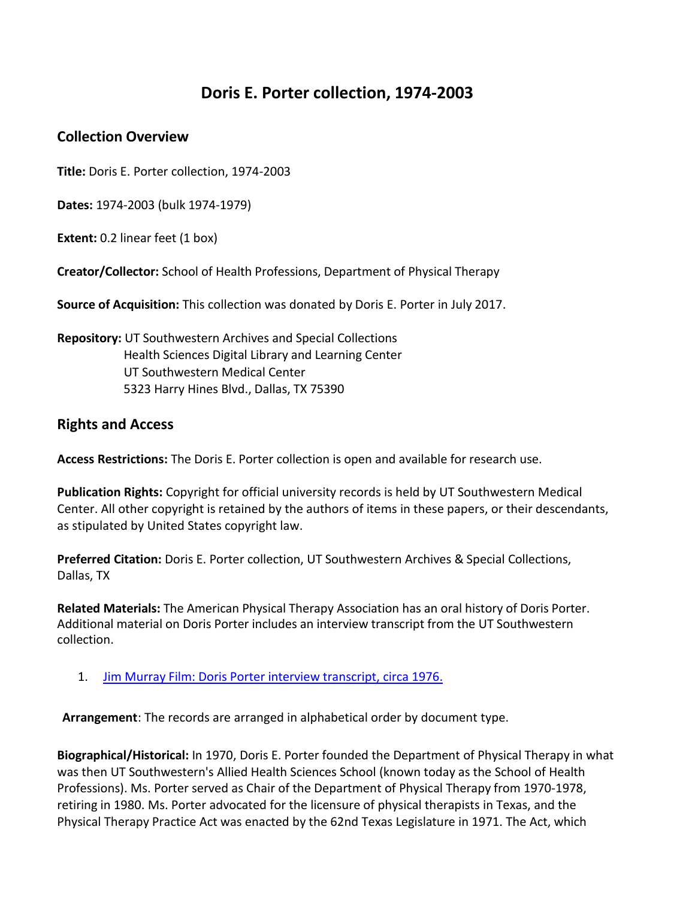## **Doris E. Porter collection, 1974-2003**

## **Collection Overview**

**Title:** Doris E. Porter collection, 1974-2003

**Dates:** 1974-2003 (bulk 1974-1979)

**Extent:** 0.2 linear feet (1 box)

**Creator/Collector:** School of Health Professions, Department of Physical Therapy

**Source of Acquisition:** This collection was donated by Doris E. Porter in July 2017.

**Repository:** UT Southwestern Archives and Special Collections Health Sciences Digital Library and Learning Center UT Southwestern Medical Center 5323 Harry Hines Blvd., Dallas, TX 75390

## **Rights and Access**

**Access Restrictions:** The Doris E. Porter collection is open and available for research use.

**Publication Rights:** Copyright for official university records is held by UT Southwestern Medical Center. All other copyright is retained by the authors of items in these papers, or their descendants, as stipulated by United States copyright law.

**Preferred Citation:** Doris E. Porter collection, UT Southwestern Archives & Special Collections, Dallas, TX

**Related Materials:** The American Physical Therapy Association has an oral history of Doris Porter. Additional material on Doris Porter includes an interview transcript from the UT Southwestern collection.

1. Jim Murray Film: Doris [Porter interview](https://hdl.handle.net/2152.5/4085) transcript, circa 1976.

**Arrangement**: The records are arranged in alphabetical order by document type.

**Biographical/Historical:** In 1970, Doris E. Porter founded the Department of Physical Therapy in what was then UT Southwestern's Allied Health Sciences School (known today as the School of Health Professions). Ms. Porter served as Chair of the Department of Physical Therapy from 1970-1978, retiring in 1980. Ms. Porter advocated for the licensure of physical therapists in Texas, and the Physical Therapy Practice Act was enacted by the 62nd Texas Legislature in 1971. The Act, which